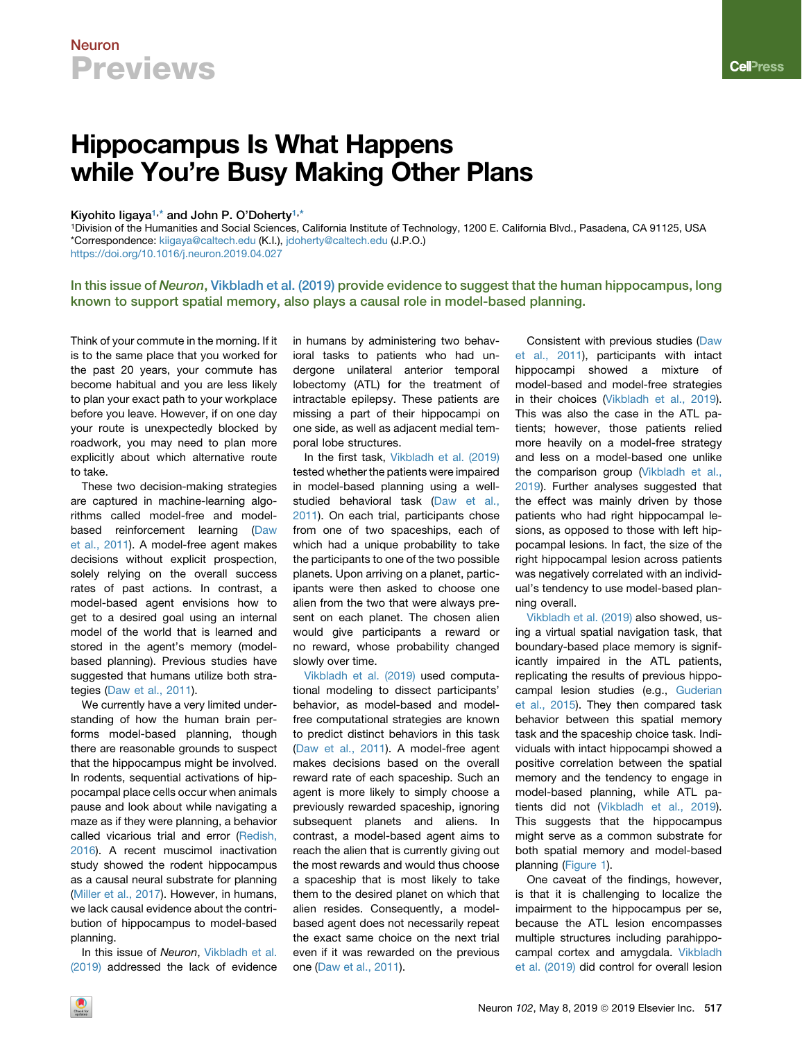# Neuron **Previews**

# Hippocampus Is What Happens while You're Busy Making Other Plans

## Kiyohito ligaya<sup>[1,](#page-0-0)\*</sup> and John P. O'Doherty<sup>[1](#page-0-0),[\\*](#page-0-1)</sup>

<span id="page-0-1"></span><span id="page-0-0"></span>1Division of the Humanities and Social Sciences, California Institute of Technology, 1200 E. California Blvd., Pasadena, CA 91125, USA \*Correspondence: [kiigaya@caltech.edu](mailto:kiigaya@caltech.edu) (K.I.), [jdoherty@caltech.edu](mailto:jdoherty@caltech.edu) (J.P.O.) <https://doi.org/10.1016/j.neuron.2019.04.027>

## In this issue of Neuron, [Vikbladh et al. \(2019\)](#page-2-0) provide evidence to suggest that the human hippocampus, long known to support spatial memory, also plays a causal role in model-based planning.

Think of your commute in the morning. If it is to the same place that you worked for the past 20 years, your commute has become habitual and you are less likely to plan your exact path to your workplace before you leave. However, if on one day your route is unexpectedly blocked by roadwork, you may need to plan more explicitly about which alternative route to take.

These two decision-making strategies are captured in machine-learning algorithms called model-free and modelbased reinforcement learning ([Daw](#page-1-0) [et al., 2011](#page-1-0)). A model-free agent makes decisions without explicit prospection, solely relying on the overall success rates of past actions. In contrast, a model-based agent envisions how to get to a desired goal using an internal model of the world that is learned and stored in the agent's memory (modelbased planning). Previous studies have suggested that humans utilize both strategies [\(Daw et al., 2011](#page-1-0)).

We currently have a very limited understanding of how the human brain performs model-based planning, though there are reasonable grounds to suspect that the hippocampus might be involved. In rodents, sequential activations of hippocampal place cells occur when animals pause and look about while navigating a maze as if they were planning, a behavior called vicarious trial and error ([Redish,](#page-2-1) [2016\)](#page-2-1). A recent muscimol inactivation study showed the rodent hippocampus as a causal neural substrate for planning [\(Miller et al., 2017\)](#page-2-2). However, in humans, we lack causal evidence about the contribution of hippocampus to model-based planning.

In this issue of *Neuron*, [Vikbladh et al.](#page-2-0) [\(2019\)](#page-2-0) addressed the lack of evidence in humans by administering two behavioral tasks to patients who had undergone unilateral anterior temporal lobectomy (ATL) for the treatment of intractable epilepsy. These patients are missing a part of their hippocampi on one side, as well as adjacent medial temporal lobe structures.

In the first task, [Vikbladh et al. \(2019\)](#page-2-0) tested whether the patients were impaired in model-based planning using a wellstudied behavioral task ([Daw et al.,](#page-1-0) [2011](#page-1-0)). On each trial, participants chose from one of two spaceships, each of which had a unique probability to take the participants to one of the two possible planets. Upon arriving on a planet, participants were then asked to choose one alien from the two that were always present on each planet. The chosen alien would give participants a reward or no reward, whose probability changed slowly over time.

[Vikbladh et al. \(2019\)](#page-2-0) used computational modeling to dissect participants' behavior, as model-based and modelfree computational strategies are known to predict distinct behaviors in this task ([Daw et al., 2011](#page-1-0)). A model-free agent makes decisions based on the overall reward rate of each spaceship. Such an agent is more likely to simply choose a previously rewarded spaceship, ignoring subsequent planets and aliens. In contrast, a model-based agent aims to reach the alien that is currently giving out the most rewards and would thus choose a spaceship that is most likely to take them to the desired planet on which that alien resides. Consequently, a modelbased agent does not necessarily repeat the exact same choice on the next trial even if it was rewarded on the previous one [\(Daw et al., 2011](#page-1-0)).

Consistent with previous studies [\(Daw](#page-1-0) [et al., 2011](#page-1-0)), participants with intact hippocampi showed a mixture of model-based and model-free strategies in their choices ([Vikbladh et al., 2019\)](#page-2-0). This was also the case in the ATL patients; however, those patients relied more heavily on a model-free strategy and less on a model-based one unlike the comparison group ([Vikbladh et al.,](#page-2-0) [2019\)](#page-2-0). Further analyses suggested that the effect was mainly driven by those patients who had right hippocampal lesions, as opposed to those with left hippocampal lesions. In fact, the size of the right hippocampal lesion across patients was negatively correlated with an individual's tendency to use model-based planning overall.

[Vikbladh et al. \(2019\)](#page-2-0) also showed, using a virtual spatial navigation task, that boundary-based place memory is significantly impaired in the ATL patients, replicating the results of previous hippocampal lesion studies (e.g., [Guderian](#page-2-3) [et al., 2015](#page-2-3)). They then compared task behavior between this spatial memory task and the spaceship choice task. Individuals with intact hippocampi showed a positive correlation between the spatial memory and the tendency to engage in model-based planning, while ATL patients did not ([Vikbladh et al., 2019\)](#page-2-0). This suggests that the hippocampus might serve as a common substrate for both spatial memory and model-based planning [\(Figure 1](#page-1-1)).

One caveat of the findings, however, is that it is challenging to localize the impairment to the hippocampus per se, because the ATL lesion encompasses multiple structures including parahippocampal cortex and amygdala. [Vikbladh](#page-2-0) [et al. \(2019\)](#page-2-0) did control for overall lesion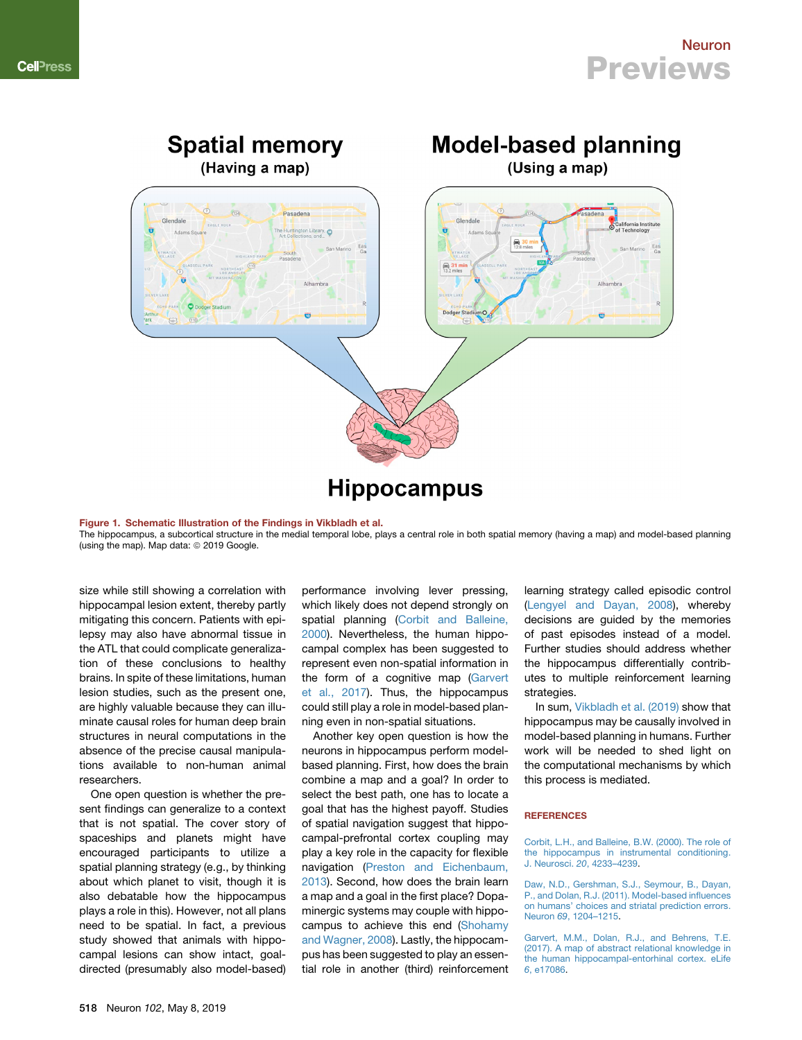<span id="page-1-1"></span>

#### Figure 1. Schematic Illustration of the Findings in Vikbladh et al.

The hippocampus, a subcortical structure in the medial temporal lobe, plays a central role in both spatial memory (having a map) and model-based planning (using the map). Map data: @ 2019 Google.

size while still showing a correlation with hippocampal lesion extent, thereby partly mitigating this concern. Patients with epilepsy may also have abnormal tissue in the ATL that could complicate generalization of these conclusions to healthy brains. In spite of these limitations, human lesion studies, such as the present one, are highly valuable because they can illuminate causal roles for human deep brain structures in neural computations in the absence of the precise causal manipulations available to non-human animal researchers.

One open question is whether the present findings can generalize to a context that is not spatial. The cover story of spaceships and planets might have encouraged participants to utilize a spatial planning strategy (e.g., by thinking about which planet to visit, though it is also debatable how the hippocampus plays a role in this). However, not all plans need to be spatial. In fact, a previous study showed that animals with hippocampal lesions can show intact, goaldirected (presumably also model-based)

performance involving lever pressing, which likely does not depend strongly on spatial planning ([Corbit and Balleine,](#page-1-2) [2000\)](#page-1-2). Nevertheless, the human hippocampal complex has been suggested to represent even non-spatial information in the form of a cognitive map [\(Garvert](#page-1-3) [et al., 2017\)](#page-1-3). Thus, the hippocampus could still play a role in model-based planning even in non-spatial situations.

Another key open question is how the neurons in hippocampus perform modelbased planning. First, how does the brain combine a map and a goal? In order to select the best path, one has to locate a goal that has the highest payoff. Studies of spatial navigation suggest that hippocampal-prefrontal cortex coupling may play a key role in the capacity for flexible navigation [\(Preston and Eichenbaum,](#page-2-4) [2013\)](#page-2-4). Second, how does the brain learn a map and a goal in the first place? Dopaminergic systems may couple with hippocampus to achieve this end ([Shohamy](#page-2-5) [and Wagner, 2008](#page-2-5)). Lastly, the hippocampus has been suggested to play an essential role in another (third) reinforcement

learning strategy called episodic control ([Lengyel and Dayan, 2008](#page-2-6)), whereby decisions are guided by the memories of past episodes instead of a model. Further studies should address whether the hippocampus differentially contributes to multiple reinforcement learning strategies.

In sum, [Vikbladh et al. \(2019\)](#page-2-0) show that hippocampus may be causally involved in model-based planning in humans. Further work will be needed to shed light on the computational mechanisms by which this process is mediated.

### **REFERENCES**

<span id="page-1-2"></span>[Corbit, L.H., and Balleine, B.W. \(2000\). The role of](http://refhub.elsevier.com/S0896-6273(19)30384-8/sref1) [the hippocampus in instrumental conditioning.](http://refhub.elsevier.com/S0896-6273(19)30384-8/sref1) J. Neurosci. *20*[, 4233–4239.](http://refhub.elsevier.com/S0896-6273(19)30384-8/sref1)

<span id="page-1-0"></span>[Daw, N.D., Gershman, S.J., Seymour, B., Dayan,](http://refhub.elsevier.com/S0896-6273(19)30384-8/sref2) [P., and Dolan, R.J. \(2011\). Model-based influences](http://refhub.elsevier.com/S0896-6273(19)30384-8/sref2) [on humans' choices and striatal prediction errors.](http://refhub.elsevier.com/S0896-6273(19)30384-8/sref2) Neuron *69*[, 1204–1215](http://refhub.elsevier.com/S0896-6273(19)30384-8/sref2).

<span id="page-1-3"></span>[Garvert, M.M., Dolan, R.J., and Behrens, T.E.](http://refhub.elsevier.com/S0896-6273(19)30384-8/sref3) [\(2017\). A map of abstract relational knowledge in](http://refhub.elsevier.com/S0896-6273(19)30384-8/sref3) [the human hippocampal-entorhinal cortex. eLife](http://refhub.elsevier.com/S0896-6273(19)30384-8/sref3) *6*[, e17086](http://refhub.elsevier.com/S0896-6273(19)30384-8/sref3).